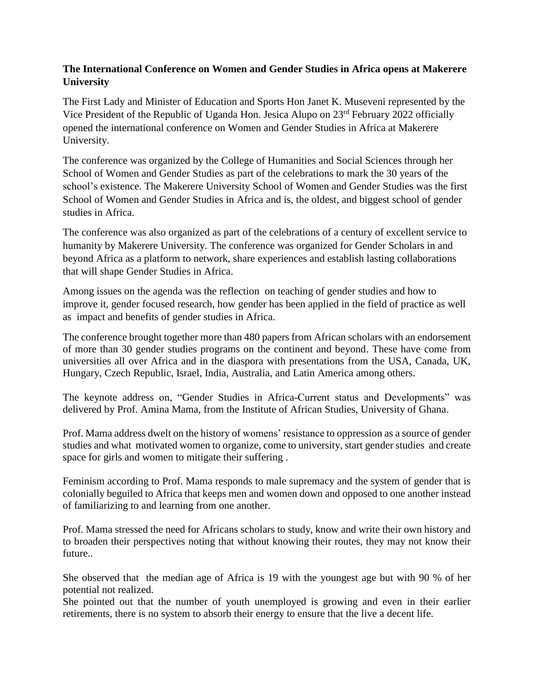## **The International Conference on Women and Gender Studies in Africa opens at Makerere University**

The First Lady and Minister of Education and Sports Hon Janet K. Museveni represented by the Vice President of the Republic of Uganda Hon. Jesica Alupo on 23rd February 2022 officially opened the international conference on Women and Gender Studies in Africa at Makerere University.

The conference was organized by the College of Humanities and Social Sciences through her School of Women and Gender Studies as part of the celebrations to mark the 30 years of the school's existence. The Makerere University School of Women and Gender Studies was the first School of Women and Gender Studies in Africa and is, the oldest, and biggest school of gender studies in Africa.

The conference was also organized as part of the celebrations of a century of excellent service to humanity by Makerere University. The conference was organized for Gender Scholars in and beyond Africa as a platform to network, share experiences and establish lasting collaborations that will shape Gender Studies in Africa.

Among issues on the agenda was the reflection on teaching of gender studies and how to improve it, gender focused research, how gender has been applied in the field of practice as well as impact and benefits of gender studies in Africa.

The conference brought together more than 480 papers from African scholars with an endorsement of more than 30 gender studies programs on the continent and beyond. These have come from universities all over Africa and in the diaspora with presentations from the USA, Canada, UK, Hungary, Czech Republic, Israel, India, Australia, and Latin America among others.

The keynote address on, "Gender Studies in Africa-Current status and Developments" was delivered by Prof. Amina Mama, from the Institute of African Studies, University of Ghana.

Prof. Mama address dwelt on the history of womens' resistance to oppression as a source of gender studies and what motivated women to organize, come to university, start gender studies and create space for girls and women to mitigate their suffering .

Feminism according to Prof. Mama responds to male supremacy and the system of gender that is colonially beguiled to Africa that keeps men and women down and opposed to one another instead of familiarizing to and learning from one another.

Prof. Mama stressed the need for Africans scholars to study, know and write their own history and to broaden their perspectives noting that without knowing their routes, they may not know their future..

She observed that the median age of Africa is 19 with the youngest age but with 90 % of her potential not realized.

She pointed out that the number of youth unemployed is growing and even in their earlier retirements, there is no system to absorb their energy to ensure that the live a decent life.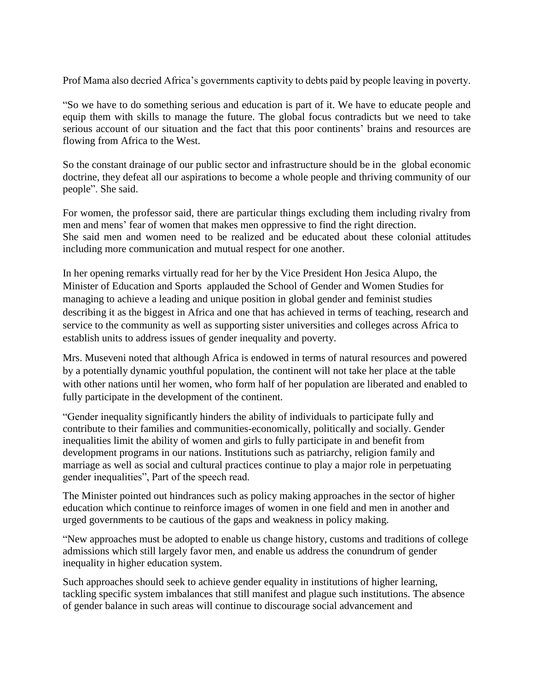Prof Mama also decried Africa's governments captivity to debts paid by people leaving in poverty.

"So we have to do something serious and education is part of it. We have to educate people and equip them with skills to manage the future. The global focus contradicts but we need to take serious account of our situation and the fact that this poor continents' brains and resources are flowing from Africa to the West.

So the constant drainage of our public sector and infrastructure should be in the global economic doctrine, they defeat all our aspirations to become a whole people and thriving community of our people". She said.

For women, the professor said, there are particular things excluding them including rivalry from men and mens' fear of women that makes men oppressive to find the right direction. She said men and women need to be realized and be educated about these colonial attitudes including more communication and mutual respect for one another.

In her opening remarks virtually read for her by the Vice President Hon Jesica Alupo, the Minister of Education and Sports applauded the School of Gender and Women Studies for managing to achieve a leading and unique position in global gender and feminist studies describing it as the biggest in Africa and one that has achieved in terms of teaching, research and service to the community as well as supporting sister universities and colleges across Africa to establish units to address issues of gender inequality and poverty.

Mrs. Museveni noted that although Africa is endowed in terms of natural resources and powered by a potentially dynamic youthful population, the continent will not take her place at the table with other nations until her women, who form half of her population are liberated and enabled to fully participate in the development of the continent.

"Gender inequality significantly hinders the ability of individuals to participate fully and contribute to their families and communities-economically, politically and socially. Gender inequalities limit the ability of women and girls to fully participate in and benefit from development programs in our nations. Institutions such as patriarchy, religion family and marriage as well as social and cultural practices continue to play a major role in perpetuating gender inequalities", Part of the speech read.

The Minister pointed out hindrances such as policy making approaches in the sector of higher education which continue to reinforce images of women in one field and men in another and urged governments to be cautious of the gaps and weakness in policy making.

"New approaches must be adopted to enable us change history, customs and traditions of college admissions which still largely favor men, and enable us address the conundrum of gender inequality in higher education system.

Such approaches should seek to achieve gender equality in institutions of higher learning, tackling specific system imbalances that still manifest and plague such institutions. The absence of gender balance in such areas will continue to discourage social advancement and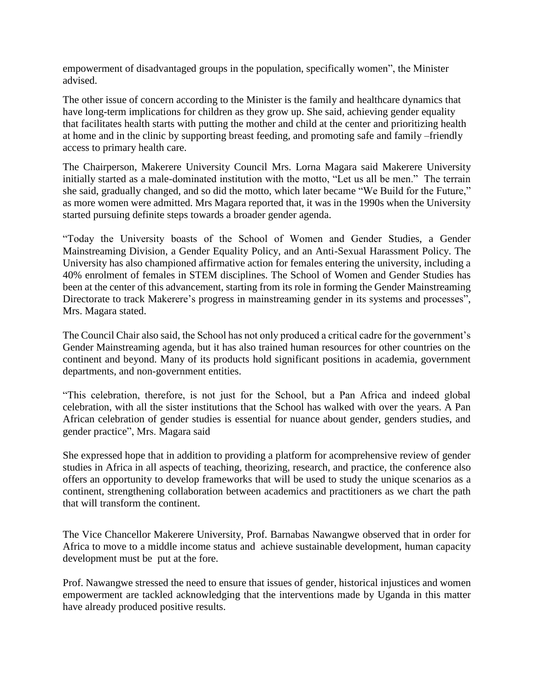empowerment of disadvantaged groups in the population, specifically women", the Minister advised.

The other issue of concern according to the Minister is the family and healthcare dynamics that have long-term implications for children as they grow up. She said, achieving gender equality that facilitates health starts with putting the mother and child at the center and prioritizing health at home and in the clinic by supporting breast feeding, and promoting safe and family –friendly access to primary health care.

The Chairperson, Makerere University Council Mrs. Lorna Magara said Makerere University initially started as a male-dominated institution with the motto, "Let us all be men." The terrain she said, gradually changed, and so did the motto, which later became "We Build for the Future," as more women were admitted. Mrs Magara reported that, it was in the 1990s when the University started pursuing definite steps towards a broader gender agenda.

"Today the University boasts of the School of Women and Gender Studies, a Gender Mainstreaming Division, a Gender Equality Policy, and an Anti-Sexual Harassment Policy. The University has also championed affirmative action for females entering the university, including a 40% enrolment of females in STEM disciplines. The School of Women and Gender Studies has been at the center of this advancement, starting from its role in forming the Gender Mainstreaming Directorate to track Makerere's progress in mainstreaming gender in its systems and processes", Mrs. Magara stated.

The Council Chair also said, the School has not only produced a critical cadre for the government's Gender Mainstreaming agenda, but it has also trained human resources for other countries on the continent and beyond. Many of its products hold significant positions in academia, government departments, and non-government entities.

"This celebration, therefore, is not just for the School, but a Pan Africa and indeed global celebration, with all the sister institutions that the School has walked with over the years. A Pan African celebration of gender studies is essential for nuance about gender, genders studies, and gender practice", Mrs. Magara said

She expressed hope that in addition to providing a platform for acomprehensive review of gender studies in Africa in all aspects of teaching, theorizing, research, and practice, the conference also offers an opportunity to develop frameworks that will be used to study the unique scenarios as a continent, strengthening collaboration between academics and practitioners as we chart the path that will transform the continent.

The Vice Chancellor Makerere University, Prof. Barnabas Nawangwe observed that in order for Africa to move to a middle income status and achieve sustainable development, human capacity development must be put at the fore.

Prof. Nawangwe stressed the need to ensure that issues of gender, historical injustices and women empowerment are tackled acknowledging that the interventions made by Uganda in this matter have already produced positive results.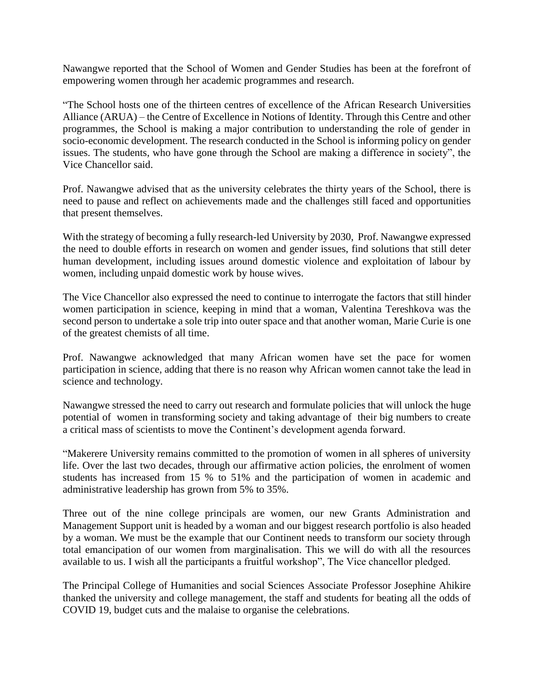Nawangwe reported that the School of Women and Gender Studies has been at the forefront of empowering women through her academic programmes and research.

"The School hosts one of the thirteen centres of excellence of the African Research Universities Alliance (ARUA) – the Centre of Excellence in Notions of Identity. Through this Centre and other programmes, the School is making a major contribution to understanding the role of gender in socio-economic development. The research conducted in the School is informing policy on gender issues. The students, who have gone through the School are making a difference in society", the Vice Chancellor said.

Prof. Nawangwe advised that as the university celebrates the thirty years of the School, there is need to pause and reflect on achievements made and the challenges still faced and opportunities that present themselves.

With the strategy of becoming a fully research-led University by 2030, Prof. Nawangwe expressed the need to double efforts in research on women and gender issues, find solutions that still deter human development, including issues around domestic violence and exploitation of labour by women, including unpaid domestic work by house wives.

The Vice Chancellor also expressed the need to continue to interrogate the factors that still hinder women participation in science, keeping in mind that a woman, Valentina Tereshkova was the second person to undertake a sole trip into outer space and that another woman, Marie Curie is one of the greatest chemists of all time.

Prof. Nawangwe acknowledged that many African women have set the pace for women participation in science, adding that there is no reason why African women cannot take the lead in science and technology.

Nawangwe stressed the need to carry out research and formulate policies that will unlock the huge potential of women in transforming society and taking advantage of their big numbers to create a critical mass of scientists to move the Continent's development agenda forward.

"Makerere University remains committed to the promotion of women in all spheres of university life. Over the last two decades, through our affirmative action policies, the enrolment of women students has increased from 15 % to 51% and the participation of women in academic and administrative leadership has grown from 5% to 35%.

Three out of the nine college principals are women, our new Grants Administration and Management Support unit is headed by a woman and our biggest research portfolio is also headed by a woman. We must be the example that our Continent needs to transform our society through total emancipation of our women from marginalisation. This we will do with all the resources available to us. I wish all the participants a fruitful workshop", The Vice chancellor pledged.

The Principal College of Humanities and social Sciences Associate Professor Josephine Ahikire thanked the university and college management, the staff and students for beating all the odds of COVID 19, budget cuts and the malaise to organise the celebrations.